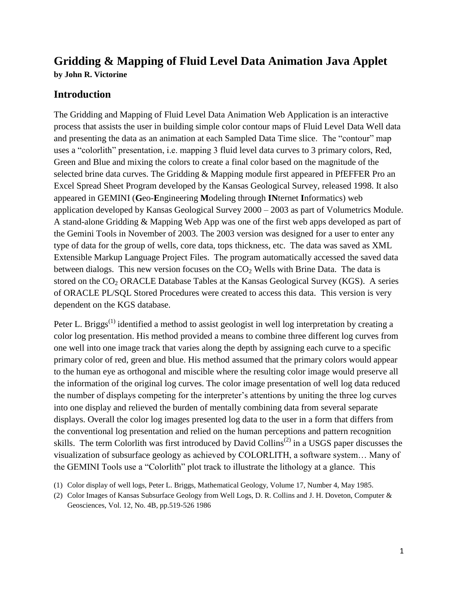# **Gridding & Mapping of Fluid Level Data Animation Java Applet by John R. Victorine**

# **Introduction**

The Gridding and Mapping of Fluid Level Data Animation Web Application is an interactive process that assists the user in building simple color contour maps of Fluid Level Data Well data and presenting the data as an animation at each Sampled Data Time slice. The "contour" map uses a "colorlith" presentation, i.e. mapping 3 fluid level data curves to 3 primary colors, Red, Green and Blue and mixing the colors to create a final color based on the magnitude of the selected brine data curves. The Gridding & Mapping module first appeared in PfEFFER Pro an Excel Spread Sheet Program developed by the Kansas Geological Survey, released 1998. It also appeared in GEMINI (**G**eo-**E**ngineering **M**odeling through **IN**ternet **I**nformatics) web application developed by Kansas Geological Survey 2000 – 2003 as part of Volumetrics Module. A stand-alone Gridding & Mapping Web App was one of the first web apps developed as part of the Gemini Tools in November of 2003. The 2003 version was designed for a user to enter any type of data for the group of wells, core data, tops thickness, etc. The data was saved as XML Extensible Markup Language Project Files. The program automatically accessed the saved data between dialogs. This new version focuses on the  $CO<sub>2</sub>$  Wells with Brine Data. The data is stored on the  $CO<sub>2</sub> ORACLE Database Tables$  at the Kansas Geological Survey (KGS). A series of ORACLE PL/SQL Stored Procedures were created to access this data. This version is very dependent on the KGS database.

Peter L. Briggs<sup>(1)</sup> identified a method to assist geologist in well log interpretation by creating a color log presentation. His method provided a means to combine three different log curves from one well into one image track that varies along the depth by assigning each curve to a specific primary color of red, green and blue. His method assumed that the primary colors would appear to the human eye as orthogonal and miscible where the resulting color image would preserve all the information of the original log curves. The color image presentation of well log data reduced the number of displays competing for the interpreter's attentions by uniting the three log curves into one display and relieved the burden of mentally combining data from several separate displays. Overall the color log images presented log data to the user in a form that differs from the conventional log presentation and relied on the human perceptions and pattern recognition skills. The term Colorlith was first introduced by David Collins<sup> $(2)$ </sup> in a USGS paper discusses the visualization of subsurface geology as achieved by COLORLITH, a software system… Many of the GEMINI Tools use a "Colorlith" plot track to illustrate the lithology at a glance. This

- (1) Color display of well logs, Peter L. Briggs, Mathematical Geology, Volume 17, Number 4, May 1985.
- (2) Color Images of Kansas Subsurface Geology from Well Logs, D. R. Collins and J. H. Doveton, Computer & Geosciences, Vol. 12, No. 4B, pp.519-526 1986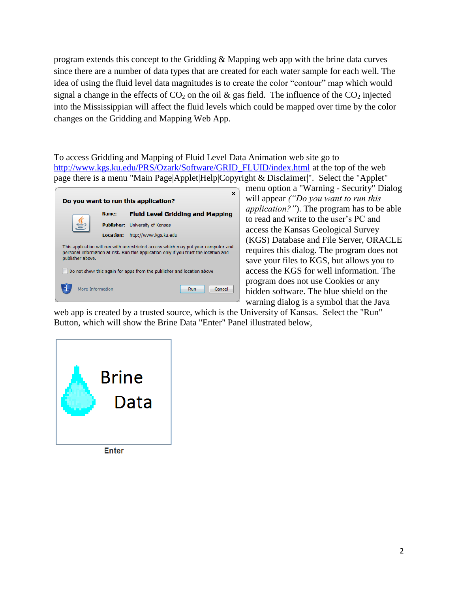program extends this concept to the Gridding & Mapping web app with the brine data curves since there are a number of data types that are created for each water sample for each well. The idea of using the fluid level data magnitudes is to create the color "contour" map which would signal a change in the effects of  $CO<sub>2</sub>$  on the oil & gas field. The influence of the  $CO<sub>2</sub>$  injected into the Mississippian will affect the fluid levels which could be mapped over time by the color changes on the Gridding and Mapping Web App.

To access Gridding and Mapping of Fluid Level Data Animation web site go to [http://www.kgs.ku.edu/PRS/Ozark/Software/GRID\\_FLUID/index.html](http://www.kgs.ku.edu/PRS/Ozark/Software/GRID_FLUID/index.html) at the top of the web page there is a menu "Main Page|Applet|Help|Copyright & Disclaimer|". Select the "Applet"

| ×<br>Do you want to run this application?                                                                                                                                                       |                  |                   |                                         |  |  |  |  |
|-------------------------------------------------------------------------------------------------------------------------------------------------------------------------------------------------|------------------|-------------------|-----------------------------------------|--|--|--|--|
|                                                                                                                                                                                                 |                  | Name:             | <b>Fluid Level Gridding and Mapping</b> |  |  |  |  |
|                                                                                                                                                                                                 |                  | <b>Publisher:</b> | University of Kansas                    |  |  |  |  |
|                                                                                                                                                                                                 |                  | Location:         | http://www.kgs.ku.edu                   |  |  |  |  |
| This application will run with unrestricted access which may put your computer and<br>personal information at risk. Run this application only if you trust the location and<br>publisher above. |                  |                   |                                         |  |  |  |  |
| Do not show this again for apps from the publisher and location above                                                                                                                           |                  |                   |                                         |  |  |  |  |
|                                                                                                                                                                                                 | More Information |                   | Cancel<br>Run                           |  |  |  |  |

menu option a "Warning - Security" Dialog will appear *("Do you want to run this application?"*). The program has to be able to read and write to the user's PC and access the Kansas Geological Survey (KGS) Database and File Server, ORACLE requires this dialog. The program does not save your files to KGS, but allows you to access the KGS for well information. The program does not use Cookies or any hidden software. The blue shield on the warning dialog is a symbol that the Java

web app is created by a trusted source, which is the University of Kansas. Select the "Run" Button, which will show the Brine Data "Enter" Panel illustrated below,



**Enter**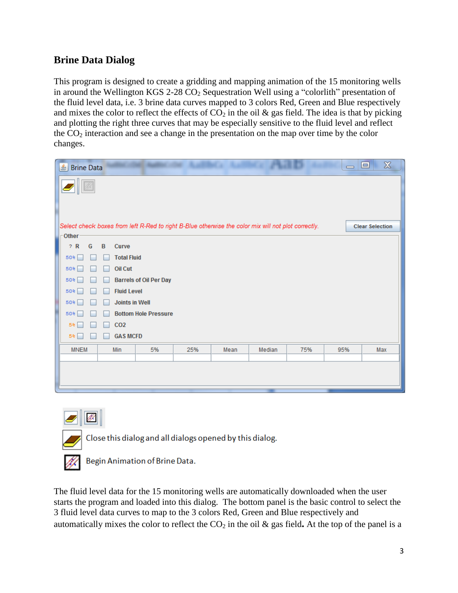## **Brine Data Dialog**

This program is designed to create a gridding and mapping animation of the 15 monitoring wells in around the Wellington KGS 2-28  $CO<sub>2</sub>$  Sequestration Well using a "colorlith" presentation of the fluid level data, i.e. 3 brine data curves mapped to 3 colors Red, Green and Blue respectively and mixes the color to reflect the effects of  $CO<sub>2</sub>$  in the oil & gas field. The idea is that by picking and plotting the right three curves that may be especially sensitive to the fluid level and reflect the  $CO<sub>2</sub>$  interaction and see a change in the presentation on the map over time by the color changes.

| $\mathbb{X}$<br>▣<br>L<br><b>Brine Data</b><br>$\overline{\phantom{0}}$                                                       |  |  |  |  |  |  |
|-------------------------------------------------------------------------------------------------------------------------------|--|--|--|--|--|--|
|                                                                                                                               |  |  |  |  |  |  |
| Select check boxes from left R-Red to right B-Blue otherwise the color mix will not plot correctly.<br><b>Clear Selection</b> |  |  |  |  |  |  |
| -Other <sup>®</sup>                                                                                                           |  |  |  |  |  |  |
| ? R<br>G<br>B<br>Curve                                                                                                        |  |  |  |  |  |  |
| <b>Total Fluid</b><br>50%                                                                                                     |  |  |  |  |  |  |
| <b>Oil Cut</b><br>50%                                                                                                         |  |  |  |  |  |  |
| <b>Barrels of Oil Per Day</b><br>50%                                                                                          |  |  |  |  |  |  |
| <b>Fluid Level</b><br>50%                                                                                                     |  |  |  |  |  |  |
| <b>Joints in Well</b><br>50%                                                                                                  |  |  |  |  |  |  |
| <b>Bottom Hole Pressure</b><br>50%                                                                                            |  |  |  |  |  |  |
| CO <sub>2</sub><br>5%                                                                                                         |  |  |  |  |  |  |
| <b>GAS MCFD</b><br>5%                                                                                                         |  |  |  |  |  |  |
| <b>MNEM</b><br>5%<br>25%<br>75%<br>95%<br>Max<br>Min<br>Mean<br>Median                                                        |  |  |  |  |  |  |
|                                                                                                                               |  |  |  |  |  |  |
|                                                                                                                               |  |  |  |  |  |  |
|                                                                                                                               |  |  |  |  |  |  |
|                                                                                                                               |  |  |  |  |  |  |



Close this dialog and all dialogs opened by this dialog.



Begin Animation of Brine Data.

The fluid level data for the 15 monitoring wells are automatically downloaded when the user starts the program and loaded into this dialog. The bottom panel is the basic control to select the 3 fluid level data curves to map to the 3 colors Red, Green and Blue respectively and automatically mixes the color to reflect the  $CO<sub>2</sub>$  in the oil  $\&$  gas field. At the top of the panel is a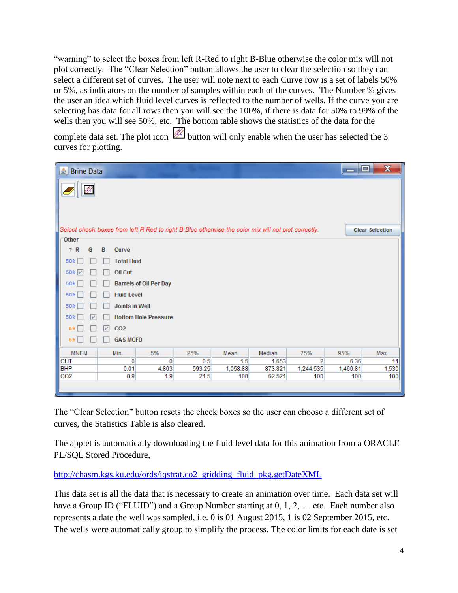"warning" to select the boxes from left R-Red to right B-Blue otherwise the color mix will not plot correctly. The "Clear Selection" button allows the user to clear the selection so they can select a different set of curves. The user will note next to each Curve row is a set of labels 50% or 5%, as indicators on the number of samples within each of the curves. The Number % gives the user an idea which fluid level curves is reflected to the number of wells. If the curve you are selecting has data for all rows then you will see the 100%, if there is data for 50% to 99% of the wells then you will see 50%, etc. The bottom table shows the statistics of the data for the

complete data set. The plot icon  $\mathbb Z$  button will only enable when the user has selected the 3 curves for plotting.

| LŜ.<br><b>Brine Data</b>                                                                            |                               |          |        |          |         |           | امارے    | $\mathbf x$            |
|-----------------------------------------------------------------------------------------------------|-------------------------------|----------|--------|----------|---------|-----------|----------|------------------------|
| 1f.                                                                                                 |                               |          |        |          |         |           |          |                        |
| Select check boxes from left R-Red to right B-Blue otherwise the color mix will not plot correctly. |                               |          |        |          |         |           |          | <b>Clear Selection</b> |
| Other                                                                                               |                               |          |        |          |         |           |          |                        |
| ? R<br>G                                                                                            | B<br>Curve                    |          |        |          |         |           |          |                        |
| 50%                                                                                                 | <b>Total Fluid</b>            |          |        |          |         |           |          |                        |
| 50%                                                                                                 | <b>Oil Cut</b>                |          |        |          |         |           |          |                        |
| 50%                                                                                                 | <b>Barrels of Oil Per Day</b> |          |        |          |         |           |          |                        |
| 50%                                                                                                 | <b>Fluid Level</b>            |          |        |          |         |           |          |                        |
| 50%                                                                                                 | <b>Joints in Well</b>         |          |        |          |         |           |          |                        |
| <b>Bottom Hole Pressure</b><br>50%<br>v                                                             |                               |          |        |          |         |           |          |                        |
| 5%                                                                                                  | CO <sub>2</sub><br>V          |          |        |          |         |           |          |                        |
| 5%                                                                                                  | <b>GAS MCFD</b>               |          |        |          |         |           |          |                        |
| <b>MNEM</b>                                                                                         | Min                           | 5%       | 25%    | Mean     | Median  | 75%       | 95%      | Max                    |
| $\ $ CUT                                                                                            | 0                             | $\bf{0}$ | 0.5    | 1.5      | 1.653   | 2         | 6.36     | 11                     |
| BHP                                                                                                 | 0.01                          | 4.803    | 593.25 | 1,058.88 | 873.821 | 1,244.535 | 1,460.81 | 1,530                  |
| C <sub>O2</sub>                                                                                     | 0.9                           | 1.9      | 21.5   | 100      | 62.521  | 100       | 100      | 100                    |
|                                                                                                     |                               |          |        |          |         |           |          |                        |

The "Clear Selection" button resets the check boxes so the user can choose a different set of curves, the Statistics Table is also cleared.

The applet is automatically downloading the fluid level data for this animation from a ORACLE PL/SQL Stored Procedure,

[http://chasm.kgs.ku.edu/ords/iqstrat.co2\\_gridding\\_fluid\\_pkg.getDateXML](http://chasm.kgs.ku.edu/ords/iqstrat.co2_gridding_fluid_pkg.getDateXML)

This data set is all the data that is necessary to create an animation over time. Each data set will have a Group ID ("FLUID") and a Group Number starting at 0, 1, 2, ... etc. Each number also represents a date the well was sampled, i.e. 0 is 01 August 2015, 1 is 02 September 2015, etc. The wells were automatically group to simplify the process. The color limits for each date is set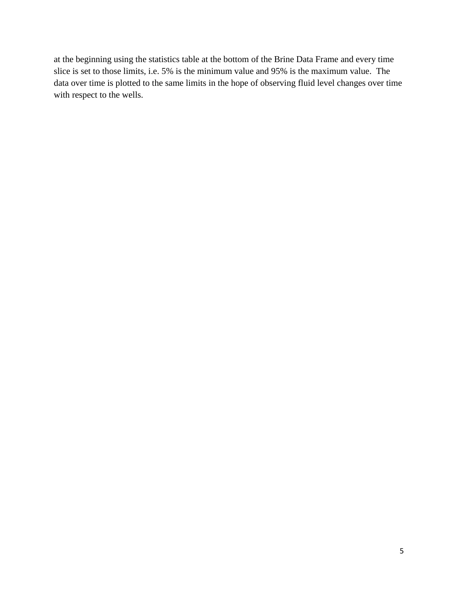at the beginning using the statistics table at the bottom of the Brine Data Frame and every time slice is set to those limits, i.e. 5% is the minimum value and 95% is the maximum value. The data over time is plotted to the same limits in the hope of observing fluid level changes over time with respect to the wells.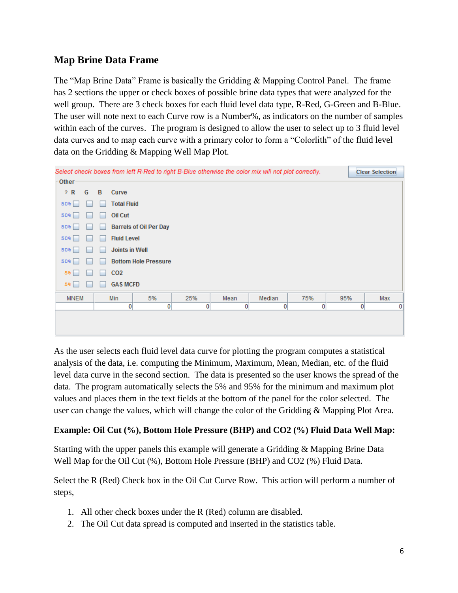### **Map Brine Data Frame**

The "Map Brine Data" Frame is basically the Gridding & Mapping Control Panel. The frame has 2 sections the upper or check boxes of possible brine data types that were analyzed for the well group. There are 3 check boxes for each fluid level data type, R-Red, G-Green and B-Blue. The user will note next to each Curve row is a Number%, as indicators on the number of samples within each of the curves. The program is designed to allow the user to select up to 3 fluid level data curves and to map each curve with a primary color to form a "Colorlith" of the fluid level data on the Gridding & Mapping Well Map Plot.



As the user selects each fluid level data curve for plotting the program computes a statistical analysis of the data, i.e. computing the Minimum, Maximum, Mean, Median, etc. of the fluid level data curve in the second section. The data is presented so the user knows the spread of the data. The program automatically selects the 5% and 95% for the minimum and maximum plot values and places them in the text fields at the bottom of the panel for the color selected. The user can change the values, which will change the color of the Gridding & Mapping Plot Area.

#### **Example: Oil Cut (%), Bottom Hole Pressure (BHP) and CO2 (%) Fluid Data Well Map:**

Starting with the upper panels this example will generate a Gridding & Mapping Brine Data Well Map for the Oil Cut (%), Bottom Hole Pressure (BHP) and CO2 (%) Fluid Data.

Select the R (Red) Check box in the Oil Cut Curve Row. This action will perform a number of steps,

- 1. All other check boxes under the R (Red) column are disabled.
- 2. The Oil Cut data spread is computed and inserted in the statistics table.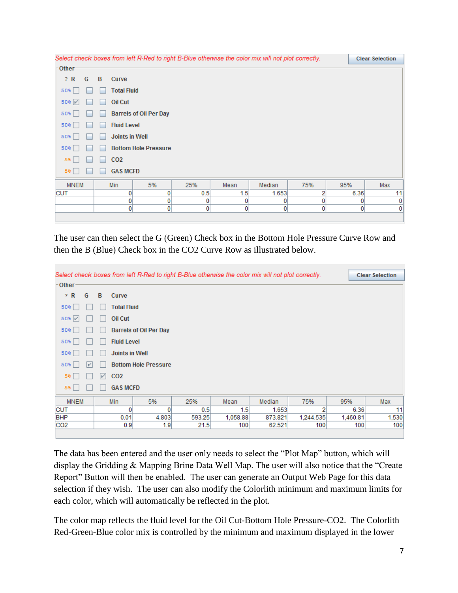| Select check boxes from left R-Red to right B-Blue otherwise the color mix will not plot correctly. |                             |                       |                               |              |      |        |                | <b>Clear Selection</b> |     |
|-----------------------------------------------------------------------------------------------------|-----------------------------|-----------------------|-------------------------------|--------------|------|--------|----------------|------------------------|-----|
| Other-                                                                                              |                             |                       |                               |              |      |        |                |                        |     |
| ? R<br>G                                                                                            | B                           | Curve                 |                               |              |      |        |                |                        |     |
| 50%                                                                                                 | ۰                           | <b>Total Fluid</b>    |                               |              |      |        |                |                        |     |
| $50%$ $V$                                                                                           |                             | <b>Oil Cut</b>        |                               |              |      |        |                |                        |     |
| 50%                                                                                                 |                             |                       | <b>Barrels of Oil Per Day</b> |              |      |        |                |                        |     |
| 50%                                                                                                 |                             | <b>Fluid Level</b>    |                               |              |      |        |                |                        |     |
| 50%                                                                                                 |                             | <b>Joints in Well</b> |                               |              |      |        |                |                        |     |
| 50%                                                                                                 | <b>Bottom Hole Pressure</b> |                       |                               |              |      |        |                |                        |     |
| 5%                                                                                                  |                             | CO <sub>2</sub>       |                               |              |      |        |                |                        |     |
| 5%                                                                                                  |                             | <b>GAS MCFD</b>       |                               |              |      |        |                |                        |     |
| <b>MNEM</b>                                                                                         |                             | Min                   | 5%                            | 25%          | Mean | Median | 75%            | 95%                    | Max |
| <b>CUT</b>                                                                                          |                             | 0                     | 0                             | 0.5          | 1.5  | 1.653  | 2              | 6.36                   | 11  |
|                                                                                                     |                             | 0                     | 0                             | 0            | 0    | 0      | 0              | 0                      | 0   |
|                                                                                                     |                             | $\mathbf{0}$          | 0                             | $\mathbf{0}$ | 0    | 0      | $\overline{0}$ | $\overline{0}$         | 0   |
|                                                                                                     |                             |                       |                               |              |      |        |                |                        |     |

The user can then select the G (Green) Check box in the Bottom Hole Pressure Curve Row and then the B (Blue) Check box in the CO2 Curve Row as illustrated below.

| Select check boxes from left R-Red to right B-Blue otherwise the color mix will not plot correctly. |                   |                    |                               |        |                  |         |           | <b>Clear Selection</b> |          |       |
|-----------------------------------------------------------------------------------------------------|-------------------|--------------------|-------------------------------|--------|------------------|---------|-----------|------------------------|----------|-------|
| Other                                                                                               |                   |                    |                               |        |                  |         |           |                        |          |       |
| ? R<br>G                                                                                            | B                 | Curve              |                               |        |                  |         |           |                        |          |       |
| 50%                                                                                                 |                   | <b>Total Fluid</b> |                               |        |                  |         |           |                        |          |       |
| $50%$ $V$                                                                                           |                   | Oil Cut            |                               |        |                  |         |           |                        |          |       |
| 50%                                                                                                 |                   |                    | <b>Barrels of Oil Per Day</b> |        |                  |         |           |                        |          |       |
| 50%                                                                                                 |                   | <b>Fluid Level</b> |                               |        |                  |         |           |                        |          |       |
| 50%                                                                                                 |                   | Joints in Well     |                               |        |                  |         |           |                        |          |       |
| 50%<br>V                                                                                            |                   |                    | <b>Bottom Hole Pressure</b>   |        |                  |         |           |                        |          |       |
| 5%                                                                                                  | $\vert \nu \vert$ | CO <sub>2</sub>    |                               |        |                  |         |           |                        |          |       |
| 5%                                                                                                  |                   | <b>GAS MCFD</b>    |                               |        |                  |         |           |                        |          |       |
| <b>MNEM</b>                                                                                         |                   | Min                | 5%                            | 25%    | Mean             | Median  | 75%       | 95%                    |          | Max   |
| <b>CUT</b>                                                                                          |                   | $\mathbf{0}$       | 0                             | 0.5    | 1.5 <sub>1</sub> | 1.653   | 2         |                        | 6.36     | 11    |
| <b>BHP</b>                                                                                          |                   | 0.01               | 4.803                         | 593.25 | 1,058.88         | 873.821 | 1,244.535 |                        | 1,460.81 | 1,530 |
| CO <sub>2</sub>                                                                                     |                   | 0.9                | 1.9                           | 21.5   | 100              | 62.521  | 100       |                        | 100      | 100   |
|                                                                                                     |                   |                    |                               |        |                  |         |           |                        |          |       |

The data has been entered and the user only needs to select the "Plot Map" button, which will display the Gridding & Mapping Brine Data Well Map. The user will also notice that the "Create Report" Button will then be enabled. The user can generate an Output Web Page for this data selection if they wish. The user can also modify the Colorlith minimum and maximum limits for each color, which will automatically be reflected in the plot.

The color map reflects the fluid level for the Oil Cut-Bottom Hole Pressure-CO2. The Colorlith Red-Green-Blue color mix is controlled by the minimum and maximum displayed in the lower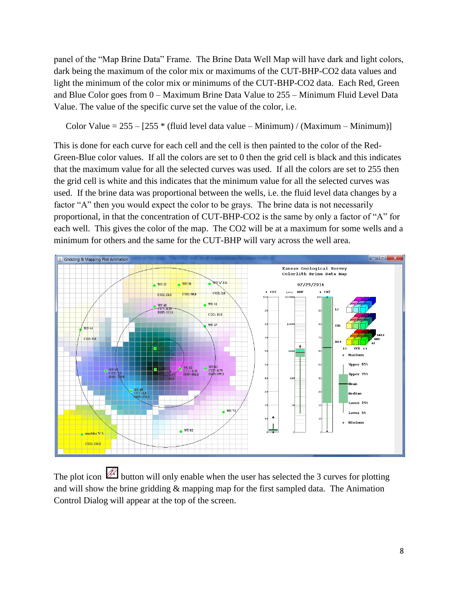panel of the "Map Brine Data" Frame. The Brine Data Well Map will have dark and light colors, dark being the maximum of the color mix or maximums of the CUT-BHP-CO2 data values and light the minimum of the color mix or minimums of the CUT-BHP-CO2 data. Each Red, Green and Blue Color goes from 0 – Maximum Brine Data Value to 255 – Minimum Fluid Level Data Value. The value of the specific curve set the value of the color, i.e.

Color Value =  $255 - [255 * (fluid level data value - Minimum) / (Maximum - Minimum)]$ 

This is done for each curve for each cell and the cell is then painted to the color of the Red-Green-Blue color values. If all the colors are set to 0 then the grid cell is black and this indicates that the maximum value for all the selected curves was used. If all the colors are set to 255 then the grid cell is white and this indicates that the minimum value for all the selected curves was used. If the brine data was proportional between the wells, i.e. the fluid level data changes by a factor "A" then you would expect the color to be grays. The brine data is not necessarily proportional, in that the concentration of CUT-BHP-CO2 is the same by only a factor of "A" for each well. This gives the color of the map. The CO2 will be at a maximum for some wells and a minimum for others and the same for the CUT-BHP will vary across the well area.



The plot icon  $\mathbb Z$  button will only enable when the user has selected the 3 curves for plotting and will show the brine gridding & mapping map for the first sampled data. The Animation Control Dialog will appear at the top of the screen.